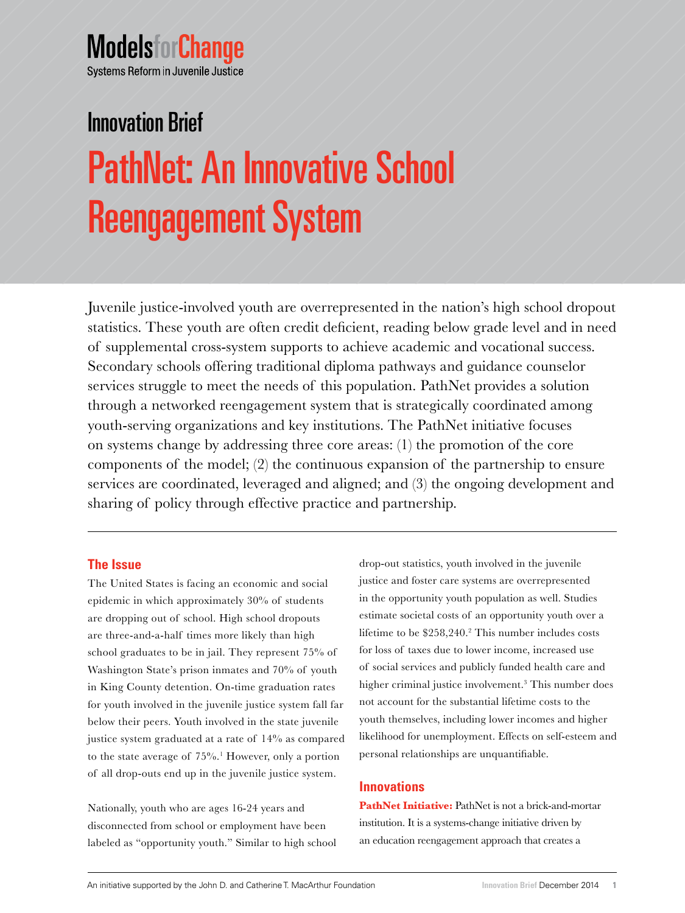# **ModelsforChange** Systems Reform in Juvenile Justice

# PathNet: An Innovative School Reengagement System Innovation Brief

Juvenile justice-involved youth are overrepresented in the nation's high school dropout statistics. These youth are often credit deficient, reading below grade level and in need of supplemental cross-system supports to achieve academic and vocational success. Secondary schools offering traditional diploma pathways and guidance counselor services struggle to meet the needs of this population. PathNet provides a solution through a networked reengagement system that is strategically coordinated among youth-serving organizations and key institutions. The PathNet initiative focuses on systems change by addressing three core areas: (1) the promotion of the core components of the model; (2) the continuous expansion of the partnership to ensure services are coordinated, leveraged and aligned; and (3) the ongoing development and sharing of policy through effective practice and partnership.

# **The Issue**

The United States is facing an economic and social epidemic in which approximately 30% of students are dropping out of school. High school dropouts are three-and-a-half times more likely than high school graduates to be in jail. They represent 75% of Washington State's prison inmates and 70% of youth in King County detention. On-time graduation rates for youth involved in the juvenile justice system fall far below their peers. Youth involved in the state juvenile justice system graduated at a rate of 14% as compared to the state average of 75%.<sup>1</sup> However, only a portion of all drop-outs end up in the juvenile justice system.

Nationally, youth who are ages 16-24 years and disconnected from school or employment have been labeled as "opportunity youth." Similar to high school drop-out statistics, youth involved in the juvenile justice and foster care systems are overrepresented in the opportunity youth population as well. Studies estimate societal costs of an opportunity youth over a lifetime to be  $$258,240.<sup>2</sup>$  This number includes costs for loss of taxes due to lower income, increased use of social services and publicly funded health care and higher criminal justice involvement.<sup>3</sup> This number does not account for the substantial lifetime costs to the youth themselves, including lower incomes and higher likelihood for unemployment. Effects on self-esteem and personal relationships are unquantifiable.

# **Innovations**

PathNet Initiative: PathNet is not a brick-and-mortar institution. It is a systems-change initiative driven by an education reengagement approach that creates a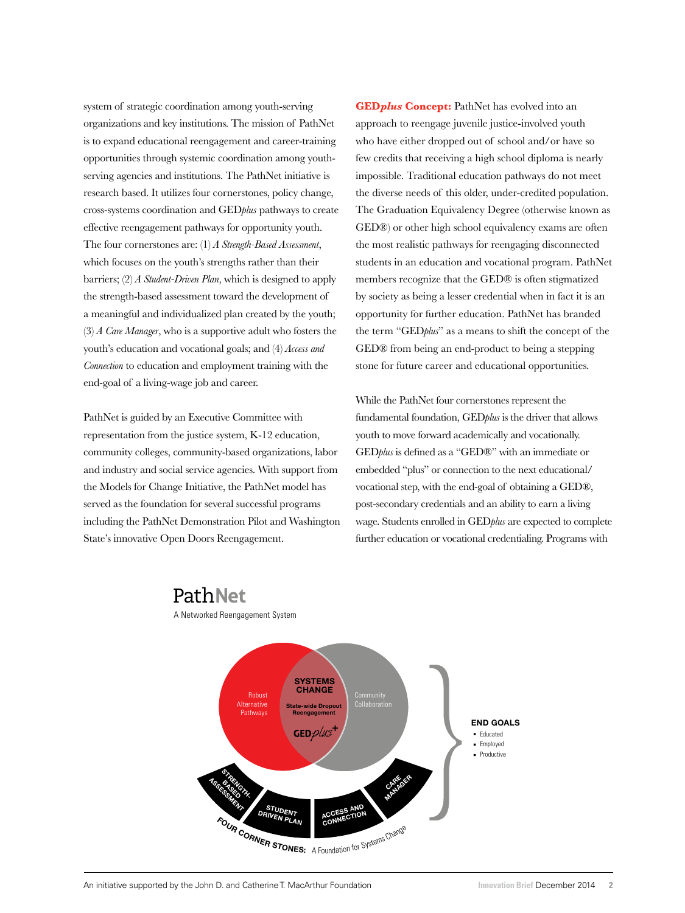system of strategic coordination among youth-serving organizations and key institutions. The mission of PathNet is to expand educational reengagement and career-training opportunities through systemic coordination among youthserving agencies and institutions. The PathNet initiative is research based. It utilizes four cornerstones, policy change, cross-systems coordination and GED*plus* pathways to create effective reengagement pathways for opportunity youth. The four cornerstones are: (1) *A Strength-Based Assessment*, which focuses on the youth's strengths rather than their barriers; (2) *A Student-Driven Plan*, which is designed to apply the strength-based assessment toward the development of a meaningful and individualized plan created by the youth; (3) *A Care Manager*, who is a supportive adult who fosters the youth's education and vocational goals; and (4) *Access and Connection* to education and employment training with the end-goal of a living-wage job and career.

PathNet is guided by an Executive Committee with representation from the justice system, K-12 education, community colleges, community-based organizations, labor and industry and social service agencies. With support from the Models for Change Initiative, the PathNet model has served as the foundation for several successful programs including the PathNet Demonstration Pilot and Washington State's innovative Open Doors Reengagement.

PathNet

A Networked Reengagement System

**GED***plus* **Concept:** PathNet has evolved into an approach to reengage juvenile justice-involved youth who have either dropped out of school and/or have so few credits that receiving a high school diploma is nearly impossible. Traditional education pathways do not meet the diverse needs of this older, under-credited population. The Graduation Equivalency Degree (otherwise known as GED®) or other high school equivalency exams are often the most realistic pathways for reengaging disconnected students in an education and vocational program. PathNet members recognize that the GED® is often stigmatized by society as being a lesser credential when in fact it is an opportunity for further education. PathNet has branded the term "GED*plus*" as a means to shift the concept of the GED® from being an end-product to being a stepping stone for future career and educational opportunities.

While the PathNet four cornerstones represent the fundamental foundation, GED*plus* is the driver that allows youth to move forward academically and vocationally. GED*plus* is defined as a "GED®" with an immediate or embedded "plus" or connection to the next educational/ vocational step, with the end-goal of obtaining a GED®, post-secondary credentials and an ability to earn a living wage. Students enrolled in GED*plus* are expected to complete further education or vocational credentialing. Programs with

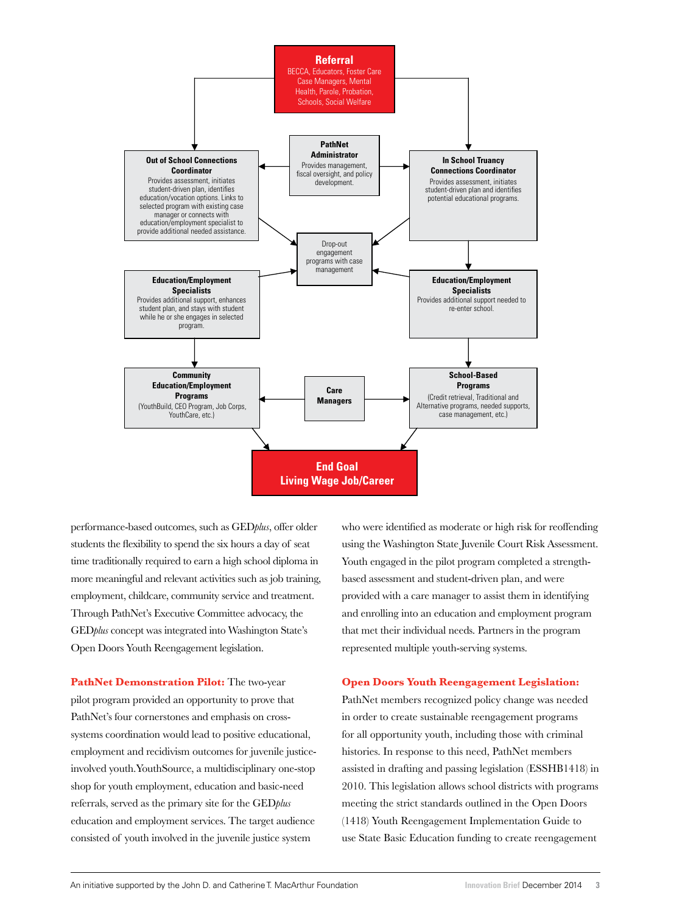

performance-based outcomes, such as GED*plus*, offer older students the flexibility to spend the six hours a day of seat time traditionally required to earn a high school diploma in more meaningful and relevant activities such as job training, employment, childcare, community service and treatment. Through PathNet's Executive Committee advocacy, the GED*plus* concept was integrated into Washington State's Open Doors Youth Reengagement legislation.

PathNet Demonstration Pilot: The two-year pilot program provided an opportunity to prove that PathNet's four cornerstones and emphasis on crosssystems coordination would lead to positive educational, employment and recidivism outcomes for juvenile justiceinvolved youth.YouthSource, a multidisciplinary one-stop shop for youth employment, education and basic-need referrals, served as the primary site for the GED*plus* education and employment services. The target audience consisted of youth involved in the juvenile justice system

who were identified as moderate or high risk for reoffending using the Washington State Juvenile Court Risk Assessment. Youth engaged in the pilot program completed a strengthbased assessment and student-driven plan, and were provided with a care manager to assist them in identifying and enrolling into an education and employment program that met their individual needs. Partners in the program represented multiple youth-serving systems.

#### **Open Doors Youth Reengagement Legislation:**

PathNet members recognized policy change was needed in order to create sustainable reengagement programs for all opportunity youth, including those with criminal histories. In response to this need, PathNet members assisted in drafting and passing legislation (ESSHB1418) in 2010. This legislation allows school districts with programs meeting the strict standards outlined in the Open Doors (1418) Youth Reengagement Implementation Guide to use State Basic Education funding to create reengagement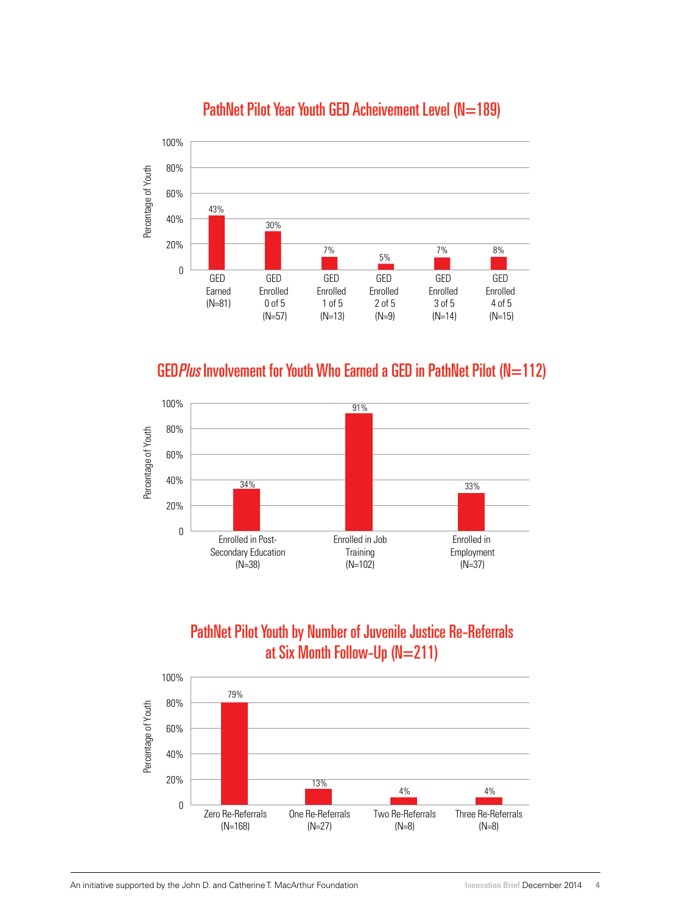

# PathNet Pilot Year Youth GED Acheivement Level (N=189)

GED Plus Involvement for Youth Who Earned a GED in PathNet Pilot (N=112)



# PathNet Pilot Youth by Number of Juvenile Justice Re-Referrals at Six Month Follow-Up (N=211)